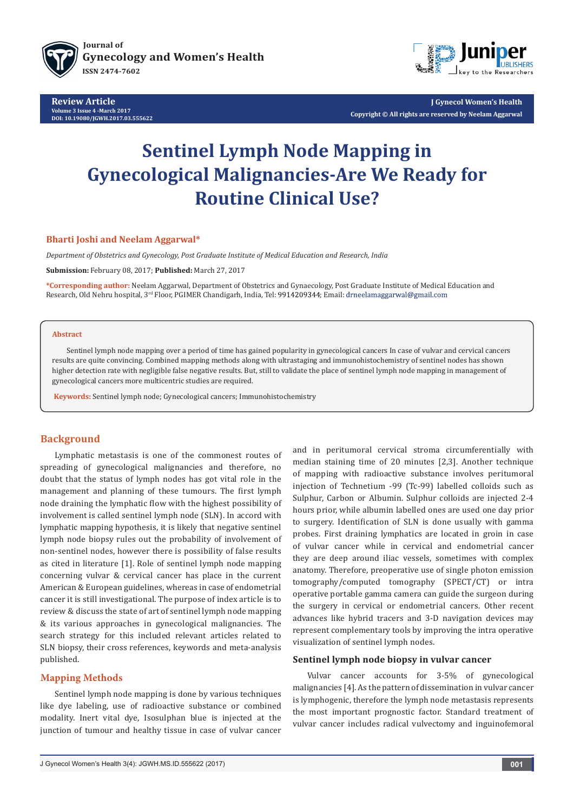

**Review Article Volume 3 Issue 4 -March 2017 [DOI:](DOI: 10.19080/JGWH.2017.02.555579) [10.19080/JGWH.2017.03.555622](http://dx.doi.org/10.19080/jgwh.2017.03.555622)**



**J Gynecol Women's Health Copyright © All rights are reserved by Neelam Aggarwal**

# **Sentinel Lymph Node Mapping in Gynecological Malignancies-Are We Ready for Routine Clinical Use?**

### **Bharti Joshi and Neelam Aggarwal\***

*Department of Obstetrics and Gynecology, Post Graduate Institute of Medical Education and Research, India*

**Submission:** February 08, 2017; **Published:** March 27, 2017

**\*Corresponding author:** Neelam Aggarwal, Department of Obstetrics and Gynaecology, Post Graduate Institute of Medical Education and Research, Old Nehru hospital, 3<sup>rd</sup> Floor, PGIMER Chandigarh, India, Tel: 9914209344; Email: drneelamaggarwal@gmail.com

#### **Abstract**

Sentinel lymph node mapping over a period of time has gained popularity in gynecological cancers In case of vulvar and cervical cancers results are quite convincing. Combined mapping methods along with ultrastaging and immunohistochemistry of sentinel nodes has shown higher detection rate with negligible false negative results. But, still to validate the place of sentinel lymph node mapping in management of gynecological cancers more multicentric studies are required.

**Keywords:** Sentinel lymph node; Gynecological cancers; Immunohistochemistry

## **Background**

Lymphatic metastasis is one of the commonest routes of spreading of gynecological malignancies and therefore, no doubt that the status of lymph nodes has got vital role in the management and planning of these tumours. The first lymph node draining the lymphatic flow with the highest possibility of involvement is called sentinel lymph node (SLN). In accord with lymphatic mapping hypothesis, it is likely that negative sentinel lymph node biopsy rules out the probability of involvement of non-sentinel nodes, however there is possibility of false results as cited in literature [1]. Role of sentinel lymph node mapping concerning vulvar & cervical cancer has place in the current American & European guidelines, whereas in case of endometrial cancer it is still investigational. The purpose of index article is to review & discuss the state of art of sentinel lymph node mapping & its various approaches in gynecological malignancies. The search strategy for this included relevant articles related to SLN biopsy, their cross references, keywords and meta-analysis published.

#### **Mapping Methods**

Sentinel lymph node mapping is done by various techniques like dye labeling, use of radioactive substance or combined modality. Inert vital dye, Isosulphan blue is injected at the junction of tumour and healthy tissue in case of vulvar cancer and in peritumoral cervical stroma circumferentially with median staining time of 20 minutes [2,3]. Another technique of mapping with radioactive substance involves peritumoral injection of Technetium -99 (Tc-99) labelled colloids such as Sulphur, Carbon or Albumin. Sulphur colloids are injected 2-4 hours prior, while albumin labelled ones are used one day prior to surgery. Identification of SLN is done usually with gamma probes. First draining lymphatics are located in groin in case of vulvar cancer while in cervical and endometrial cancer they are deep around iliac vessels, sometimes with complex anatomy. Therefore, preoperative use of single photon emission tomography/computed tomography (SPECT/CT) or intra operative portable gamma camera can guide the surgeon during the surgery in cervical or endometrial cancers. Other recent advances like hybrid tracers and 3-D navigation devices may represent complementary tools by improving the intra operative visualization of sentinel lymph nodes.

#### **Sentinel lymph node biopsy in vulvar cancer**

Vulvar cancer accounts for 3-5% of gynecological malignancies [4]. As the pattern of dissemination in vulvar cancer is lymphogenic, therefore the lymph node metastasis represents the most important prognostic factor. Standard treatment of vulvar cancer includes radical vulvectomy and inguinofemoral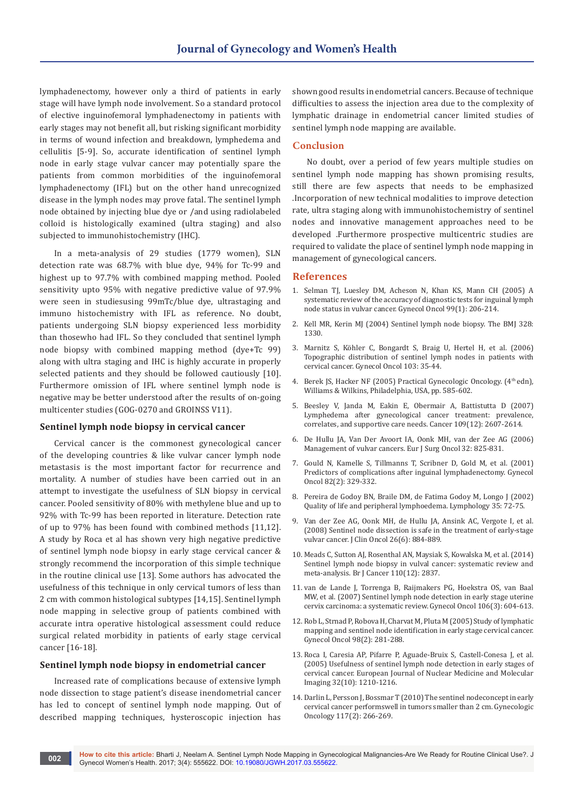lymphadenectomy, however only a third of patients in early stage will have lymph node involvement. So a standard protocol of elective inguinofemoral lymphadenectomy in patients with early stages may not benefit all, but risking significant morbidity in terms of wound infection and breakdown, lymphedema and cellulitis [5-9]. So, accurate identification of sentinel lymph node in early stage vulvar cancer may potentially spare the patients from common morbidities of the inguinofemoral lymphadenectomy (IFL) but on the other hand unrecognized disease in the lymph nodes may prove fatal. The sentinel lymph node obtained by injecting blue dye or /and using radiolabeled colloid is histologically examined (ultra staging) and also subjected to immunohistochemistry (IHC).

In a meta-analysis of 29 studies (1779 women), SLN detection rate was 68.7% with blue dye, 94% for Tc-99 and highest up to 97.7% with combined mapping method. Pooled sensitivity upto 95% with negative predictive value of 97.9% were seen in studiesusing 99mTc/blue dye, ultrastaging and immuno histochemistry with IFL as reference. No doubt, patients undergoing SLN biopsy experienced less morbidity than thosewho had IFL. So they concluded that sentinel lymph node biopsy with combined mapping method (dye+Tc 99) along with ultra staging and IHC is highly accurate in properly selected patients and they should be followed cautiously [10]. Furthermore omission of IFL where sentinel lymph node is negative may be better understood after the results of on-going multicenter studies (GOG-0270 and GROINSS V11).

#### **Sentinel lymph node biopsy in cervical cancer**

Cervical cancer is the commonest gynecological cancer of the developing countries & like vulvar cancer lymph node metastasis is the most important factor for recurrence and mortality. A number of studies have been carried out in an attempt to investigate the usefulness of SLN biopsy in cervical cancer. Pooled sensitivity of 80% with methylene blue and up to 92% with Tc-99 has been reported in literature. Detection rate of up to 97% has been found with combined methods [11,12]. A study by Roca et al has shown very high negative predictive of sentinel lymph node biopsy in early stage cervical cancer & strongly recommend the incorporation of this simple technique in the routine clinical use [13]. Some authors has advocated the usefulness of this technique in only cervical tumors of less than 2 cm with common histological subtypes [14,15]. Sentinel lymph node mapping in selective group of patients combined with accurate intra operative histological assessment could reduce surgical related morbidity in patients of early stage cervical cancer [16-18].

#### **Sentinel lymph node biopsy in endometrial cancer**

Increased rate of complications because of extensive lymph node dissection to stage patient's disease inendometrial cancer has led to concept of sentinel lymph node mapping. Out of described mapping techniques, hysteroscopic injection has

shown good results in endometrial cancers. Because of technique difficulties to assess the injection area due to the complexity of lymphatic drainage in endometrial cancer limited studies of sentinel lymph node mapping are available.

#### **Conclusion**

No doubt, over a period of few years multiple studies on sentinel lymph node mapping has shown promising results, still there are few aspects that needs to be emphasized .Incorporation of new technical modalities to improve detection rate, ultra staging along with immunohistochemistry of sentinel nodes and innovative management approaches need to be developed .Furthermore prospective multicentric studies are required to validate the place of sentinel lymph node mapping in management of gynecological cancers.

#### **References**

- 1. [Selman TJ, Luesley DM, Acheson N, Khan KS, Mann CH \(2005\) A](https://www.ncbi.nlm.nih.gov/pubmed/16081147)  [systematic review of the accuracy of diagnostic tests for inguinal lymph](https://www.ncbi.nlm.nih.gov/pubmed/16081147)  [node status in vulvar cancer. Gynecol Oncol 99\(1\): 206-214.](https://www.ncbi.nlm.nih.gov/pubmed/16081147)
- 2. [Kell MR, Kerin MJ \(2004\) Sentinel lymph node biopsy. The BMJ 328:](http://www.bmj.com/content/328/7452/1330/rapid-responses)  [1330.](http://www.bmj.com/content/328/7452/1330/rapid-responses)
- 3. [Marnitz S, Köhler C, Bongardt S, Braig U, Hertel H, et al. \(2006\)](https://www.ncbi.nlm.nih.gov/pubmed/16600355)  [Topographic distribution of sentinel lymph nodes in patients with](https://www.ncbi.nlm.nih.gov/pubmed/16600355)  [cervical cancer. Gynecol Oncol 103: 35-44.](https://www.ncbi.nlm.nih.gov/pubmed/16600355)
- 4. Berek JS, Hacker NF (2005) Practical Gynecologic Oncology. (4<sup>th</sup> edn), Williams & Wilkins, Philadelphia, USA, pp. 585-602.
- 5. [Beesley V, Janda M, Eakin E, Obermair A, Battistutta D \(2007\)](https://www.ncbi.nlm.nih.gov/pubmed/17474128)  [Lymphedema after gynecological cancer treatment: prevalence,](https://www.ncbi.nlm.nih.gov/pubmed/17474128)  [correlates, and supportive care needs. Cancer 109\(12\): 2607-2614.](https://www.ncbi.nlm.nih.gov/pubmed/17474128)
- 6. De Hullu JA, Van Der Avoort IA, Oonk MH, van der Zee AG (2006) Management of vulvar cancers. Eur J Surg Oncol 32: 825-831.
- 7. [Gould N, Kamelle S, Tillmanns T, Scribner D, Gold M, et al. \(2001\)](https://www.ncbi.nlm.nih.gov/pubmed/11531288)  [Predictors of complications after inguinal lymphadenectomy. Gynecol](https://www.ncbi.nlm.nih.gov/pubmed/11531288)  [Oncol 82\(2\): 329-332.](https://www.ncbi.nlm.nih.gov/pubmed/11531288)
- 8. Pereira de Godoy BN, Braile DM, de Fatima Godoy M, Longo J (2002) Quality of life and peripheral lymphoedema. Lymphology 35: 72-75.
- 9. [Van der Zee AG, Oonk MH, de Hullu JA, Ansink AC, Vergote I, et al.](https://www.ncbi.nlm.nih.gov/pubmed/18281661)  [\(2008\) Sentinel node dissection is safe in the treatment of early-stage](https://www.ncbi.nlm.nih.gov/pubmed/18281661)  [vulvar cancer. J Clin Oncol 26\(6\): 884-889.](https://www.ncbi.nlm.nih.gov/pubmed/18281661)
- 10. [Meads C, Sutton AJ, Rosenthal AN, Maysiak S, Kowalska M, et al. \(2014\)](https://www.ncbi.nlm.nih.gov/pubmed/24867697)  [Sentinel lymph node biopsy in vulval cancer: systematic review and](https://www.ncbi.nlm.nih.gov/pubmed/24867697)  [meta-analysis. Br J Cancer 110\(12\): 2837.](https://www.ncbi.nlm.nih.gov/pubmed/24867697)
- 11. [van de Lande J, Torrenga B, Raijmakers PG, Hoekstra OS, van Baal](https://www.ncbi.nlm.nih.gov/pubmedhealth/PMH0025122/)  [MW, et al. \(2007\) Sentinel lymph node detection in early stage uterine](https://www.ncbi.nlm.nih.gov/pubmedhealth/PMH0025122/)  [cervix carcinoma: a systematic review. Gynecol Oncol 106\(3\): 604-613.](https://www.ncbi.nlm.nih.gov/pubmedhealth/PMH0025122/)
- 12. [Rob L, Strnad P, Robova H, Charvat M, Pluta M \(2005\) Study of lymphatic](https://www.ncbi.nlm.nih.gov/pubmed/15961145)  [mapping and sentinel node identification in early stage cervical cancer.](https://www.ncbi.nlm.nih.gov/pubmed/15961145)  [Gynecol Oncol 98\(2\): 281-288.](https://www.ncbi.nlm.nih.gov/pubmed/15961145)
- 13. [Roca I, Caresia AP, Pifarre P, Aguade-Bruix S, Castell-Conesa J, et al.](https://inis.iaea.org/search/search.aspx?orig_q=RN:37000250)  [\(2005\) Usefulness of sentinel lymph node detection in early stages of](https://inis.iaea.org/search/search.aspx?orig_q=RN:37000250)  [cervical cancer. European Journal of Nuclear Medicine and Molecular](https://inis.iaea.org/search/search.aspx?orig_q=RN:37000250)  [Imaging 32\(10\): 1210-1216.](https://inis.iaea.org/search/search.aspx?orig_q=RN:37000250)
- 14. Darlin L, Persson J, Bossmar T (2010) The sentinel nodeconcept in early cervical cancer performswell in tumors smaller than 2 cm. Gynecologic Oncology 117(2): 266-269.